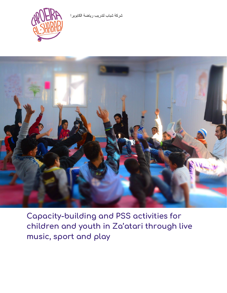شركة شباب لتدریب ریاضة الكابویرا





**Capacity-building and PSS activities for children and youth in Za'atari through live music, sport and play**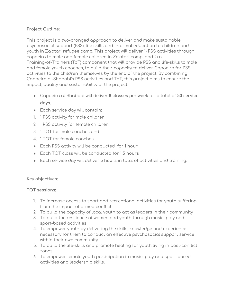## **Project Outline:**

This project is a two-pronged approach to deliver and make sustainable psychosocial support (PSS), life skills and informal education to children and youth in Za'atari refugee camp. This project will deliver 1) PSS activities through capoeira to male and female children in Za'atari camp, and 2) a Training-of-Trainers (ToT) component that will provide PSS and life-skills to male and female youth coaches, to build their capacity to deliver Capoeira for PSS activities to the children themselves by the end of the project. By combining Capoeira al-Shababi's PSS activities and ToT, this project aims to ensure the impact, quality and sustainability of the project.

- Capoeira al-Shababi will deliver **8 classes per week** for a total of **50 service days.**
- Each service day will contain:
- 1. 1 PSS activity for male children
- 2. 1 PSS activity for female children
- 3. 1 TOT for male coaches and
- 4. 1 TOT for female coaches
- Each PSS activity will be conducted for **1 hour**
- Each TOT class will be conducted for **1.5 hours**
- Each service day will deliver **5 hours** in total of activities and training.

#### **Key objectives:**

**TOT sessions:**

- 1. To increase access to sport and recreational activities for youth suffering from the impact of armed conflict
- 2. To build the capacity of local youth to act as leaders in their community
- 3. To build the resilience of women and youth through music, play and sport-based activities
- 4. To empower youth by delivering the skills, knowledge and experience necessary for them to conduct an effective psychosocial support service within their own community
- 5. To build the life-skills and promote healing for youth living in post-conflict zones
- 6. To empower female youth participation in music, play and sport-based activities and leadership skills.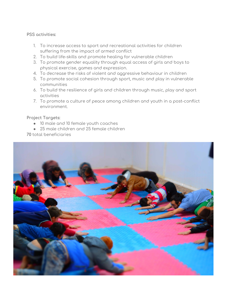#### **PSS activities:**

- 1. To increase access to sport and recreational activities for children suffering from the impact of armed conflict
- 2. To build life-skills and promote healing for vulnerable children
- 3. To promote gender equality through equal access of girls and boys to physical exercise, games and expression.
- 4. To decrease the risks of violent and aggressive behaviour in children
- 5. To promote social cohesion through sport, music and play in vulnerable communities
- 6. To build the resilience of girls and children through music, play and sport activities
- 7. To promote a culture of peace among children and youth in a post-conflict environment.

#### **Project Targets:**

- 10 male and 10 female youth coaches
- 25 male children and 25 female children

**70** total beneficiaries

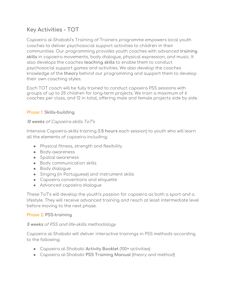# **Key Activities - TOT**

Capoeira al-Shababi's Training of Trainers programme empowers local youth coaches to deliver psychosocial support activities to children in their communities. Our programming provides youth coaches with advanced **training skills** in capoeira movements, body dialogue, physical expression, and music. It also develops the coaches **teaching** skills to enable them to conduct psychosocial support games and activities. We also develop the coaches knowledge of the **theory** behind our programming and support them to develop their own coaching styles.

Each TOT coach will be fully trained to conduct capoeira PSS sessions with groups of up to 25 children for long-term projects. We train a maximum of 6 coaches per class, and 12 in total, offering male and female projects side by side.

## **Phase 1**: **Skills-building**

## 1**0 weeks** of Capoeira-skills ToT's

Intensive Capoeira-skills training (**1.5 hours** each session) to youth who will learn all the elements of capoeira including:

- Physical fitness, strength and flexibility
- Body-awareness
- Spatial awareness
- Body communication skills
- Body dialogue
- Singing (in Portuguese) and instrument skills
- Capoeira conventions and etiquette
- Advanced capoeira dialogue

These ToT's will develop the youth's passion for capoeira as both a sport and a lifestyle. They will receive advanced training and reach at least intermediate level before moving to the next phase.

## **Phase 2**: **PSS-training**

## **5 weeks** of PSS and life-skills methodology

Capoeira al-Shababi will deliver interactive trainings in PSS methods according to the following:

- Capoeira al-Shababi **Activity Booklet** (100+ activities)
- Capoeira al-Shababi **PSS Training Manual** (theory and method)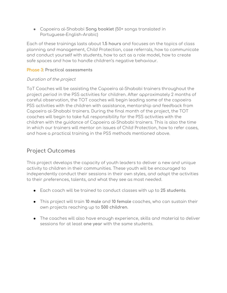● Capoeira al-Shababi **Song booklet** (50+ songs translated in Portuguese-English-Arabic)

Each of these trainings lasts about **1.5 hours** and focuses on the topics of class planning and management, Child Protection, case referrals, how to communicate and conduct yourself with students, how to act as a role model, how to create safe spaces and how to handle children's negative behaviour.

#### **Phase 3**: **Practical assessments**

#### Duration of the project

ToT Coaches will be assisting the Capoeira al-Shababi trainers throughout the project period in the PSS activities for children. After approximately 2 months of careful observation, the TOT coaches will begin leading some of the capoeira PSS activities with the children with assistance, mentorship and feedback from Capoeira al-Shababi trainers. During the final month of the project, the TOT coaches will begin to take full responsibility for the PSS activities with the children with the guidance of Capoeira al-Shababi trainers. This is also the time in which our trainers will mentor on issues of Child Protection, how to refer cases, and have a practical training in the PSS methods mentioned above.

# **Project Outcomes**

This project develops the capacity of youth leaders to deliver a new and unique activity to children in their communities. These youth will be encouraged to independently conduct their sessions in their own styles, and adapt the activities to their preferences, talents, and what they see as most needed.

- Each coach will be trained to conduct classes with up to **25 students**.
- This project will train **10 male** and **10 female** coaches, who can sustain their own projects reaching up to **500 children**.
- The coaches will also have enough experience, skills and material to deliver sessions for at least **one year** with the same students.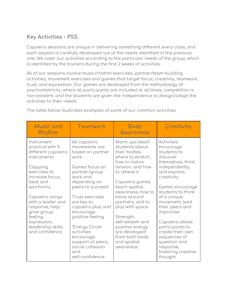# **Key Activities - PSS**

Capoeira sessions are unique in delivering something different every class, and each session is carefully developed out of the needs identified in the previous one. We cater our activities according to the particular needs of the group, which is identified by the trainers during the first 2 weeks of activities.

All of our sessions involve music/rhythm exercises, partner/team-building activities, movement exercises and games that target focus, creativity, teamwork, trust, and expression. Our games are developed from the methodology of psychomotricity, where all participants are included at all times, competition is non-existent, and the students are given the independence to design/adapt the activities to their needs.

| <b>Music and</b><br>Rhythm                                         | <b>Teamwork</b>                                                                                              | <b>Body</b><br><b>Awareness</b>                                                         | Creativity                                                                                                        |  |
|--------------------------------------------------------------------|--------------------------------------------------------------------------------------------------------------|-----------------------------------------------------------------------------------------|-------------------------------------------------------------------------------------------------------------------|--|
| Instrument<br>practice with 5<br>different capoeira<br>instruments | All capoeira<br>movements are<br>based on partner<br>work                                                    | Warm ups teach<br>students about<br>their bodies,<br>where to stretch,<br>how to notice | Activities<br>encourage<br>students to<br>discover<br>themselves, think                                           |  |
| Clapping<br>exercises to<br>increase focus,                        | Games focus on<br>partner/group<br>work and                                                                  | tension, and how<br>to relieve it                                                       | independently,<br>and express<br>creativity                                                                       |  |
| beat and<br>synchrony                                              | depending on<br>peers to succeed                                                                             | Capoeira games<br>teach spatial<br>awareness, how to                                    | Games encourage<br>students to think                                                                              |  |
| Capoeira songs<br>with a leader and<br>response, help              | <b>Trust exercises</b><br>are key to<br>capoeira play and                                                    | move around<br>partners, and to<br>play with space                                      | of a unique<br>movement, lead<br>their peers and                                                                  |  |
| grow group<br>feeling,<br>expression,                              | encourage<br>positive feeling                                                                                | Strength,<br>self-esteem and                                                            | improvise<br>Capoeira allows                                                                                      |  |
| leadership skills<br>and confidence                                | 'Energy Circle'<br>activities<br>encourage<br>support of peers,<br>social cohesion<br>and<br>self-confidence | positive energy<br>are developed<br>from both body<br>and spatial<br>awareness          | participants to<br>create their own<br>sequences of<br>question and<br>response,<br>fostering creative<br>thought |  |

The table below illustrates examples of some of our common activities: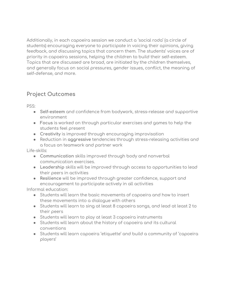Additionally, in each capoeira session we conduct a 'social roda' (a circle of students) encouraging everyone to participate in voicing their opinions, giving feedback, and discussing topics that concern them. The students' voices are of priority in capoeira sessions, helping the children to build their self-esteem. Topics that are discussed are broad, are initiated by the children themselves, and generally focus on social pressures, gender issues, conflict, the meaning of self-defense, and more.

## **Project Outcomes**

PSS:

- **Self-esteem** and confidence from bodywork, stress-release and supportive environment
- **Focus** is worked on through particular exercises and games to help the students feel present
- **Creativity** is improved through encouraging improvisation
- Reduction in **aggressive** tendencies through stress-releasing activities and a focus on teamwork and partner work

Life-skills:

- **Communication** skills improved through body and nonverbal communication exercises.
- **Leadership** skills will be improved through access to opportunities to lead their peers in activities
- **Resilience** will be improved through greater confidence, support and encouragement to participate actively in all activities

Informal education:

- Students will learn the basic movements of capoeira and how to insert these movements into a dialogue with others
- Students will learn to sing at least 8 capoeira songs, and lead at least 2 to their peers
- Students will learn to play at least 3 capoeira instruments
- Students will learn about the history of capoeira and its cultural conventions
- Students will learn capoeira 'etiquette' and build a community of 'capoeira players'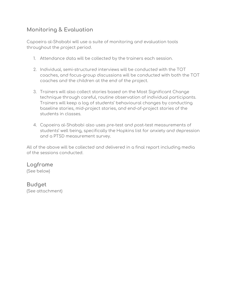# **Monitoring & Evaluation**

Capoeira al-Shababi will use a suite of monitoring and evaluation tools throughout the project period.

- 1. Attendance data will be collected by the trainers each session.
- 2. Individual, semi-structured interviews will be conducted with the TOT coaches, and focus-group discussions will be conducted with both the TOT coaches and the children at the end of the project.
- 3. Trainers will also collect stories based on the Most Significant Change technique through careful, routine observation of individual participants. Trainers will keep a log of students' behavioural changes by conducting baseline stories, mid-project stories, and end-of-project stories of the students in classes.
- 4. Capoeira al-Shababi also uses pre-test and post-test measurements of students' well being, specifically the Hopkins list for anxiety and depression and a PTSD measurement survey.

All of the above will be collected and delivered in a final report including media of the sessions conducted.

**Logframe** (See below)

**Budget** (See attachment)